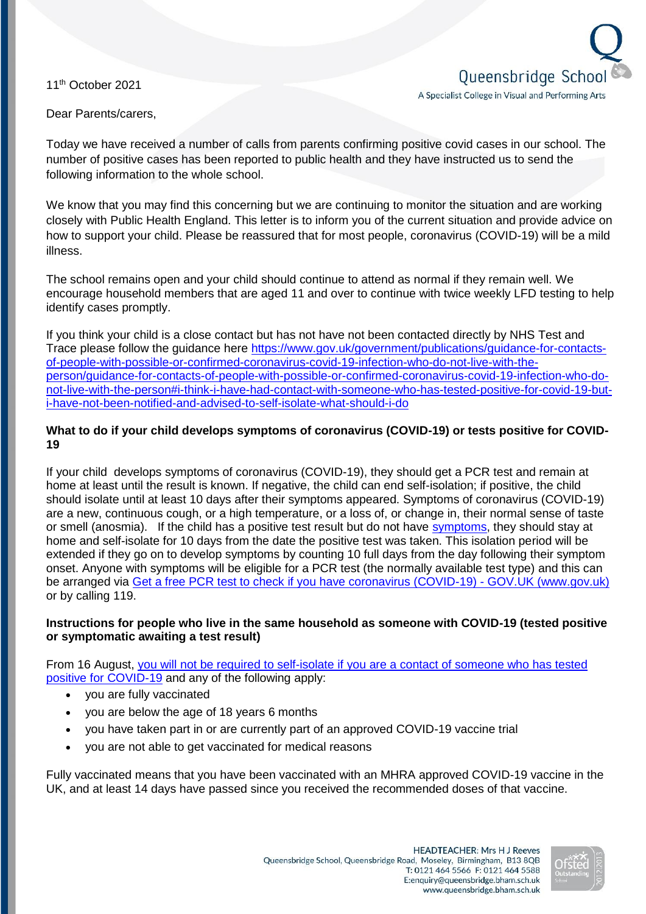11<sup>th</sup> October 2021



Dear Parents/carers,

Today we have received a number of calls from parents confirming positive covid cases in our school. The number of positive cases has been reported to public health and they have instructed us to send the following information to the whole school.

We know that you may find this concerning but we are continuing to monitor the situation and are working closely with Public Health England. This letter is to inform you of the current situation and provide advice on how to support your child. Please be reassured that for most people, coronavirus (COVID-19) will be a mild illness.

The school remains open and your child should continue to attend as normal if they remain well. We encourage household members that are aged 11 and over to continue with twice weekly LFD testing to help identify cases promptly.

If you think your child is a close contact but has not have not been contacted directly by NHS Test and Trace please follow the guidance here [https://www.gov.uk/government/publications/guidance-for-contacts](https://www.gov.uk/government/publications/guidance-for-contacts-of-people-with-possible-or-confirmed-coronavirus-covid-19-infection-who-do-not-live-with-the-person/guidance-for-contacts-of-people-with-possible-or-confirmed-coronavirus-covid-19-infection-who-do-not-live-with-the-person#i-think-i-have-had-contact-with-someone-who-has-tested-positive-for-covid-19-but-i-have-not-been-notified-and-advised-to-self-isolate-what-should-i-do)[of-people-with-possible-or-confirmed-coronavirus-covid-19-infection-who-do-not-live-with-the](https://www.gov.uk/government/publications/guidance-for-contacts-of-people-with-possible-or-confirmed-coronavirus-covid-19-infection-who-do-not-live-with-the-person/guidance-for-contacts-of-people-with-possible-or-confirmed-coronavirus-covid-19-infection-who-do-not-live-with-the-person#i-think-i-have-had-contact-with-someone-who-has-tested-positive-for-covid-19-but-i-have-not-been-notified-and-advised-to-self-isolate-what-should-i-do)[person/guidance-for-contacts-of-people-with-possible-or-confirmed-coronavirus-covid-19-infection-who-do](https://www.gov.uk/government/publications/guidance-for-contacts-of-people-with-possible-or-confirmed-coronavirus-covid-19-infection-who-do-not-live-with-the-person/guidance-for-contacts-of-people-with-possible-or-confirmed-coronavirus-covid-19-infection-who-do-not-live-with-the-person#i-think-i-have-had-contact-with-someone-who-has-tested-positive-for-covid-19-but-i-have-not-been-notified-and-advised-to-self-isolate-what-should-i-do)[not-live-with-the-person#i-think-i-have-had-contact-with-someone-who-has-tested-positive-for-covid-19-but](https://www.gov.uk/government/publications/guidance-for-contacts-of-people-with-possible-or-confirmed-coronavirus-covid-19-infection-who-do-not-live-with-the-person/guidance-for-contacts-of-people-with-possible-or-confirmed-coronavirus-covid-19-infection-who-do-not-live-with-the-person#i-think-i-have-had-contact-with-someone-who-has-tested-positive-for-covid-19-but-i-have-not-been-notified-and-advised-to-self-isolate-what-should-i-do)[i-have-not-been-notified-and-advised-to-self-isolate-what-should-i-do](https://www.gov.uk/government/publications/guidance-for-contacts-of-people-with-possible-or-confirmed-coronavirus-covid-19-infection-who-do-not-live-with-the-person/guidance-for-contacts-of-people-with-possible-or-confirmed-coronavirus-covid-19-infection-who-do-not-live-with-the-person#i-think-i-have-had-contact-with-someone-who-has-tested-positive-for-covid-19-but-i-have-not-been-notified-and-advised-to-self-isolate-what-should-i-do) 

## **What to do if your child develops symptoms of coronavirus (COVID-19) or tests positive for COVID-19**

If your child develops symptoms of coronavirus (COVID-19), they should get a PCR test and remain at home at least until the result is known. If negative, the child can end self-isolation; if positive, the child should isolate until at least 10 days after their symptoms appeared. Symptoms of coronavirus (COVID-19) are a new, continuous cough, or a high temperature, or a loss of, or change in, their normal sense of taste or smell (anosmia). If the child has a positive test result but do not have [symptoms,](https://www.gov.uk/government/publications/covid-19-stay-at-home-guidance/stay-at-home-guidance-for-households-with-possible-coronavirus-covid-19-infection#symptoms) they should stay at home and self-isolate for 10 days from the date the positive test was taken. This isolation period will be extended if they go on to develop symptoms by counting 10 full days from the day following their symptom onset. Anyone with symptoms will be eligible for a PCR test (the normally available test type) and this can be arranged via [Get a free PCR test to check if you have coronavirus \(COVID-19\) -](https://www.gov.uk/get-coronavirus-test) GOV.UK (www.gov.uk) or by calling 119.

# **Instructions for people who live in the same household as someone with COVID-19 (tested positive or symptomatic awaiting a test result)**

From 16 August, [you will not be required to self-isolate if you are a contact of someone who has tested](https://www.gov.uk/government/publications/covid-19-stay-at-home-guidance/stay-at-home-guidance-for-households-with-possible-coronavirus-covid-19-infection#exempt)  [positive for COVID-19](https://www.gov.uk/government/publications/covid-19-stay-at-home-guidance/stay-at-home-guidance-for-households-with-possible-coronavirus-covid-19-infection#exempt) and any of the following apply:

- you are fully vaccinated
- you are below the age of 18 years 6 months
- you have taken part in or are currently part of an approved COVID-19 vaccine trial
- you are not able to get vaccinated for medical reasons

Fully vaccinated means that you have been vaccinated with an MHRA approved COVID-19 vaccine in the UK, and at least 14 days have passed since you received the recommended doses of that vaccine.

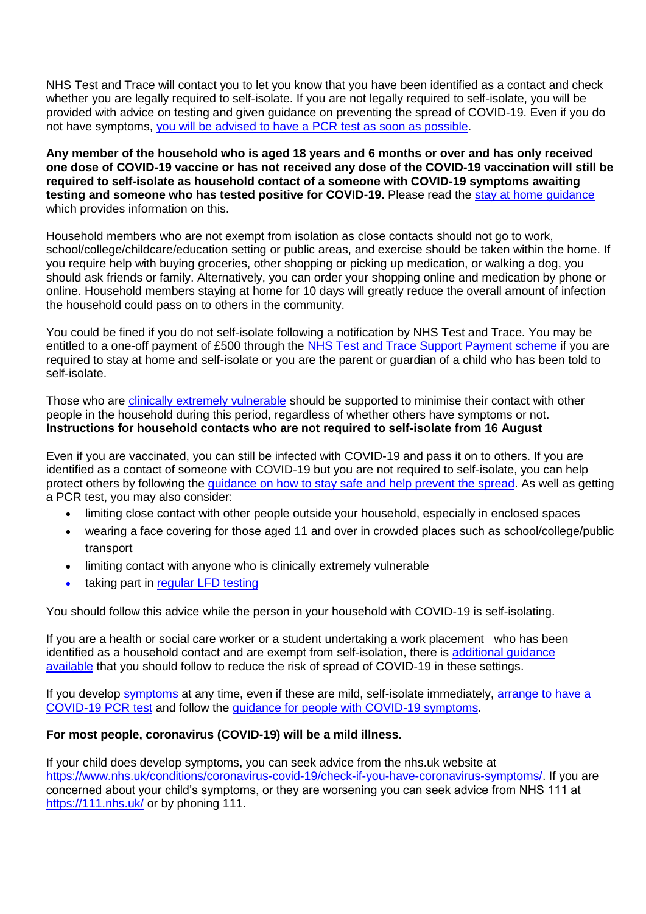NHS Test and Trace will contact you to let you know that you have been identified as a contact and check whether you are legally required to self-isolate. If you are not legally required to self-isolate, you will be provided with advice on testing and given guidance on preventing the spread of COVID-19. Even if you do not have symptoms, [you will be advised to have a](https://www.gov.uk/government/publications/covid-19-stay-at-home-guidance/stay-at-home-guidance-for-households-with-possible-coronavirus-covid-19-infection#PCR) PCR test as soon as possible.

**Any member of the household who is aged 18 years and 6 months or over and has only received one dose of COVID-19 vaccine or has not received any dose of the COVID-19 vaccination will still be required to self-isolate as household contact of a someone with COVID-19 symptoms awaiting testing and someone who has tested positive for COVID-19.** Please read the [stay at home guidance](https://www.gov.uk/government/publications/covid-19-stay-at-home-guidance) which provides information on this.

Household members who are not exempt from isolation as close contacts should not go to work, school/college/childcare/education setting or public areas, and exercise should be taken within the home. If you require help with buying groceries, other shopping or picking up medication, or walking a dog, you should ask friends or family. Alternatively, you can order your shopping online and medication by phone or online. Household members staying at home for 10 days will greatly reduce the overall amount of infection the household could pass on to others in the community.

You could be fined if you do not self-isolate following a notification by NHS Test and Trace. You may be entitled to a one-off payment of £500 through the [NHS Test and Trace Support Payment scheme](https://www.gov.uk/government/publications/test-and-trace-support-payment-scheme-claiming-financial-support/claiming-financial-support-under-the-test-and-trace-support-payment-scheme) if you are required to stay at home and self-isolate or you are the parent or guardian of a child who has been told to self-isolate.

Those who are [clinically extremely vulnerable](https://www.gov.uk/government/publications/guidance-on-shielding-and-protecting-extremely-vulnerable-persons-from-covid-19/guidance-on-shielding-and-protecting-extremely-vulnerable-persons-from-covid-19) should be supported to minimise their contact with other people in the household during this period, regardless of whether others have symptoms or not. **Instructions for household contacts who are not required to self-isolate from 16 August**

Even if you are vaccinated, you can still be infected with COVID-19 and pass it on to others. If you are identified as a contact of someone with COVID-19 but you are not required to self-isolate, you can help protect others by following the [guidance on how to stay safe and help prevent the spread.](https://www.gov.uk/guidance/covid-19-coronavirus-restrictions-what-you-can-and-cannot-do#keeping-yourself-and-others-safe) As well as getting a PCR test, you may also consider:

- limiting close contact with other people outside your household, especially in enclosed spaces
- wearing a face covering for those aged 11 and over in crowded places such as school/college/public transport
- limiting contact with anyone who is clinically extremely vulnerable
- taking part in [regular](https://www.gov.uk/order-coronavirus-rapid-lateral-flow-tests) LFD testing

You should follow this advice while the person in your household with COVID-19 is self-isolating.

If you are a health or social care worker or a student undertaking a work placement who has been identified as a household contact and are exempt from self-isolation, there is [additional guidance](https://www.gov.uk/government/publications/covid-19-management-of-exposed-healthcare-workers-and-patients-in-hospital-settings/covid-19-management-of-exposed-healthcare-workers-and-patients-in-hospital-settings)  [available](https://www.gov.uk/government/publications/covid-19-management-of-exposed-healthcare-workers-and-patients-in-hospital-settings/covid-19-management-of-exposed-healthcare-workers-and-patients-in-hospital-settings) that you should follow to reduce the risk of spread of COVID-19 in these settings.

If you develop [symptoms](https://www.gov.uk/government/publications/covid-19-stay-at-home-guidance/stay-at-home-guidance-for-households-with-possible-coronavirus-covid-19-infection#symptoms) at any time, even if these are mild, self-isolate immediately, arrange to have a [COVID-19](https://www.gov.uk/get-coronavirus-test) PCR test and follow the [guidance for people with COVID-19 symptoms.](https://www.gov.uk/government/publications/covid-19-stay-at-home-guidance/stay-at-home-guidance-for-households-with-possible-coronavirus-covid-19-infection#SymptomsPositiveTest)

#### **For most people, coronavirus (COVID-19) will be a mild illness.**

If your child does develop symptoms, you can seek advice from the nhs.uk website at [https://www.nhs.uk/conditions/coronavirus-covid-19/check-if-you-have-coronavirus-symptoms/.](https://www.nhs.uk/conditions/coronavirus-covid-19/check-if-you-have-coronavirus-symptoms/) If you are concerned about your child's symptoms, or they are worsening you can seek advice from NHS 111 at <https://111.nhs.uk/> or by phoning 111.